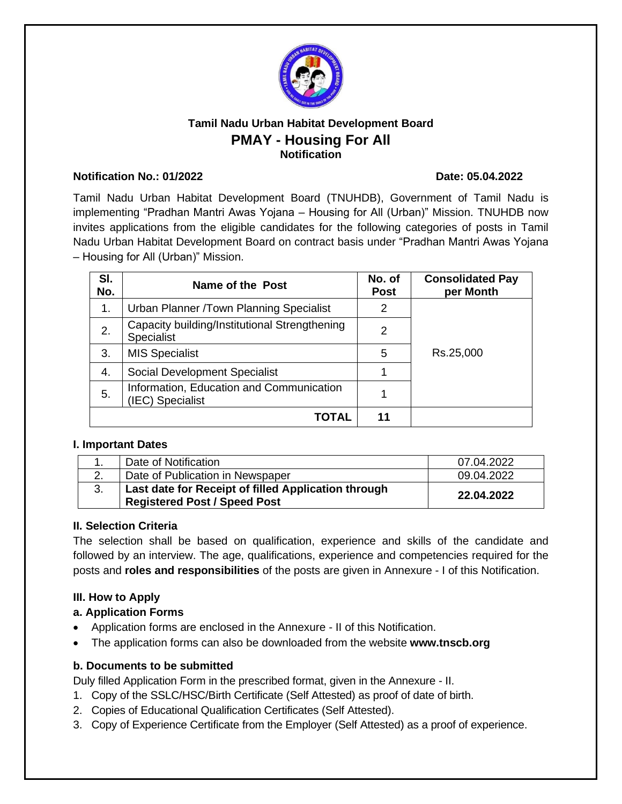

# **Tamil Nadu Urban Habitat Development Board PMAY - Housing For All Notification**

#### **Notification No.: 01/2022 Date: 05.04.2022**

Tamil Nadu Urban Habitat Development Board (TNUHDB), Government of Tamil Nadu is implementing "Pradhan Mantri Awas Yojana – Housing for All (Urban)" Mission. TNUHDB now invites applications from the eligible candidates for the following categories of posts in Tamil Nadu Urban Habitat Development Board on contract basis under "Pradhan Mantri Awas Yojana – Housing for All (Urban)" Mission.

| SI.<br>No. | Name of the Post                                                   | No. of<br><b>Post</b> | <b>Consolidated Pay</b><br>per Month |
|------------|--------------------------------------------------------------------|-----------------------|--------------------------------------|
| 1.         | Urban Planner / Town Planning Specialist                           | 2                     |                                      |
| 2.         | Capacity building/Institutional Strengthening<br><b>Specialist</b> | 2                     |                                      |
| 3.         | <b>MIS Specialist</b>                                              | 5                     | Rs.25,000                            |
| 4.         | Social Development Specialist                                      |                       |                                      |
| 5.         | Information, Education and Communication<br>(IEC) Specialist       |                       |                                      |
|            | TOTAL                                                              | 11                    |                                      |

# **I. Important Dates**

|    | Date of Notification                                                                       | 07.04.2022 |
|----|--------------------------------------------------------------------------------------------|------------|
| Ź. | Date of Publication in Newspaper                                                           | 09.04.2022 |
| 3. | Last date for Receipt of filled Application through<br><b>Registered Post / Speed Post</b> | 22.04.2022 |

### **II. Selection Criteria**

The selection shall be based on qualification, experience and skills of the candidate and followed by an interview. The age, qualifications, experience and competencies required for the posts and **roles and responsibilities** of the posts are given in Annexure - I of this Notification.

### **III. How to Apply**

### **a. Application Forms**

- Application forms are enclosed in the Annexure II of this Notification.
- The application forms can also be downloaded from the website **www.tnscb.org**

### **b. Documents to be submitted**

Duly filled Application Form in the prescribed format, given in the Annexure - II.

- 1. Copy of the SSLC/HSC/Birth Certificate (Self Attested) as proof of date of birth.
- 2. Copies of Educational Qualification Certificates (Self Attested).
- 3. Copy of Experience Certificate from the Employer (Self Attested) as a proof of experience.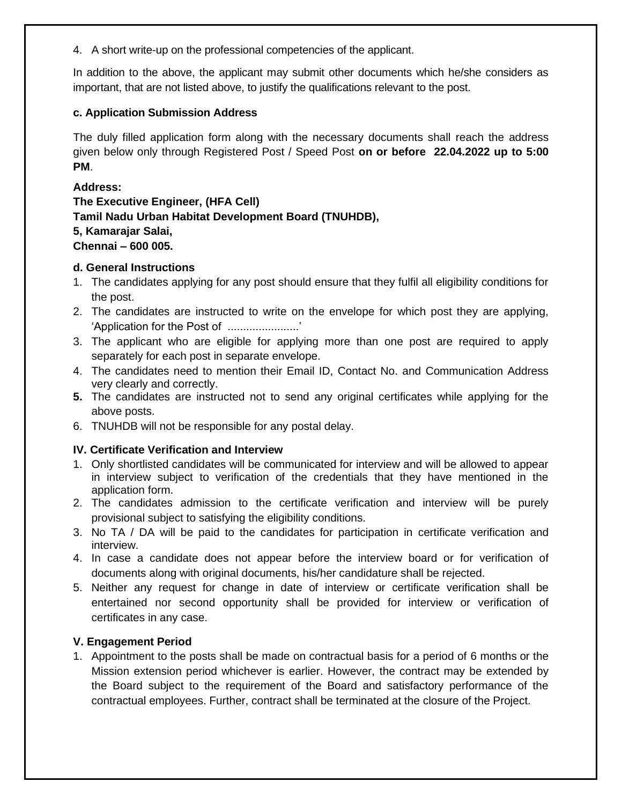4. A short write-up on the professional competencies of the applicant.

In addition to the above, the applicant may submit other documents which he/she considers as important, that are not listed above, to justify the qualifications relevant to the post.

#### **c. Application Submission Address**

The duly filled application form along with the necessary documents shall reach the address given below only through Registered Post / Speed Post **on or before 22.04.2022 up to 5:00 PM**.

**Address: The Executive Engineer, (HFA Cell) Tamil Nadu Urban Habitat Development Board (TNUHDB), 5, Kamarajar Salai, Chennai – 600 005.**

#### **d. General Instructions**

- 1. The candidates applying for any post should ensure that they fulfil all eligibility conditions for the post.
- 2. The candidates are instructed to write on the envelope for which post they are applying, 'Application for the Post of .......................'
- 3. The applicant who are eligible for applying more than one post are required to apply separately for each post in separate envelope.
- 4. The candidates need to mention their Email ID, Contact No. and Communication Address very clearly and correctly.
- **5.** The candidates are instructed not to send any original certificates while applying for the above posts.
- 6. TNUHDB will not be responsible for any postal delay.

### **IV. Certificate Verification and Interview**

- 1. Only shortlisted candidates will be communicated for interview and will be allowed to appear in interview subject to verification of the credentials that they have mentioned in the application form.
- 2. The candidates admission to the certificate verification and interview will be purely provisional subject to satisfying the eligibility conditions.
- 3. No TA / DA will be paid to the candidates for participation in certificate verification and interview.
- 4. In case a candidate does not appear before the interview board or for verification of documents along with original documents, his/her candidature shall be rejected.
- 5. Neither any request for change in date of interview or certificate verification shall be entertained nor second opportunity shall be provided for interview or verification of certificates in any case.

### **V. Engagement Period**

1. Appointment to the posts shall be made on contractual basis for a period of 6 months or the Mission extension period whichever is earlier. However, the contract may be extended by the Board subject to the requirement of the Board and satisfactory performance of the contractual employees. Further, contract shall be terminated at the closure of the Project.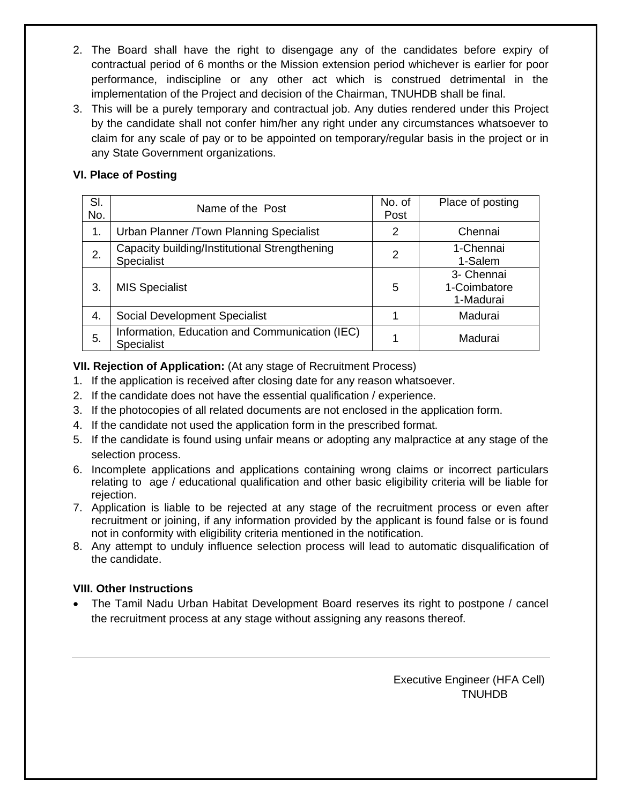- 2. The Board shall have the right to disengage any of the candidates before expiry of contractual period of 6 months or the Mission extension period whichever is earlier for poor performance, indiscipline or any other act which is construed detrimental in the implementation of the Project and decision of the Chairman, TNUHDB shall be final.
- 3. This will be a purely temporary and contractual job. Any duties rendered under this Project by the candidate shall not confer him/her any right under any circumstances whatsoever to claim for any scale of pay or to be appointed on temporary/regular basis in the project or in any State Government organizations.

# **VI. Place of Posting**

| SI.<br>No. | Name of the Post                                                    | No. of<br>Post | Place of posting                        |
|------------|---------------------------------------------------------------------|----------------|-----------------------------------------|
| 1.         | Urban Planner /Town Planning Specialist                             | 2              | Chennai                                 |
| 2.         | Capacity building/Institutional Strengthening<br><b>Specialist</b>  | 2              | 1-Chennai<br>1-Salem                    |
| 3.         | <b>MIS Specialist</b>                                               | 5              | 3- Chennai<br>1-Coimbatore<br>1-Madurai |
| 4.         | Social Development Specialist                                       |                | Madurai                                 |
| 5.         | Information, Education and Communication (IEC)<br><b>Specialist</b> |                | Madurai                                 |

**VII. Rejection of Application:** (At any stage of Recruitment Process)

- 1. If the application is received after closing date for any reason whatsoever.
- 2. If the candidate does not have the essential qualification / experience.
- 3. If the photocopies of all related documents are not enclosed in the application form.
- 4. If the candidate not used the application form in the prescribed format.
- 5. If the candidate is found using unfair means or adopting any malpractice at any stage of the selection process.
- 6. Incomplete applications and applications containing wrong claims or incorrect particulars relating to age / educational qualification and other basic eligibility criteria will be liable for rejection.
- 7. Application is liable to be rejected at any stage of the recruitment process or even after recruitment or joining, if any information provided by the applicant is found false or is found not in conformity with eligibility criteria mentioned in the notification.
- 8. Any attempt to unduly influence selection process will lead to automatic disqualification of the candidate.

### **VIII. Other Instructions**

• The Tamil Nadu Urban Habitat Development Board reserves its right to postpone / cancel the recruitment process at any stage without assigning any reasons thereof.

 Executive Engineer (HFA Cell) TNUHDB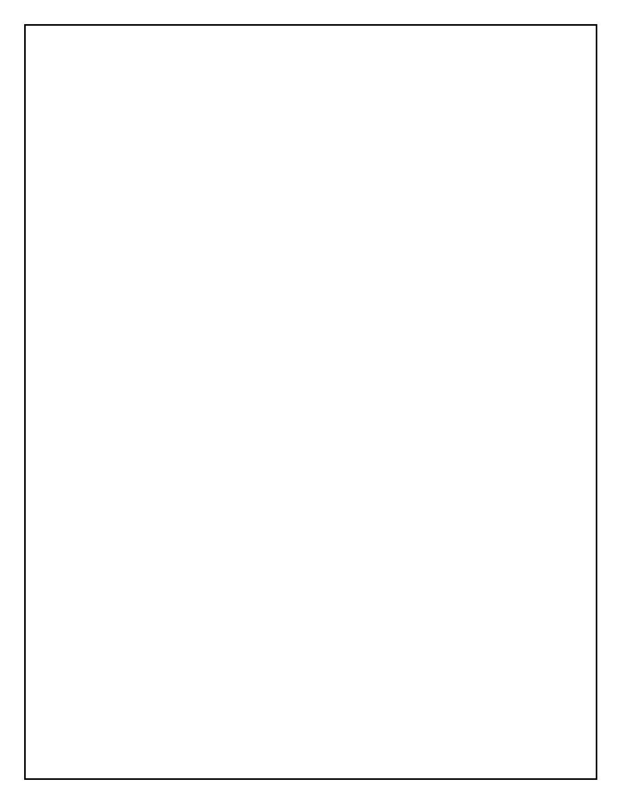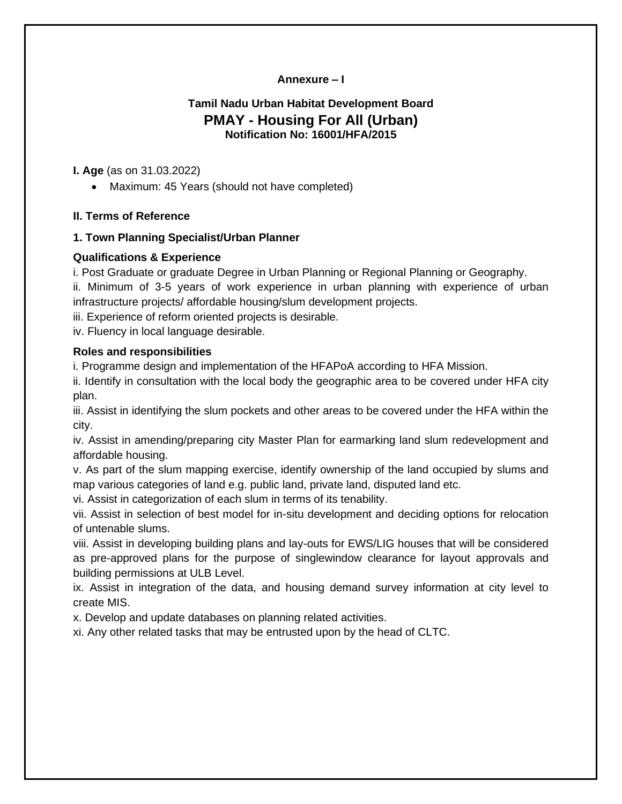#### **Annexure – I**

# **Tamil Nadu Urban Habitat Development Board PMAY - Housing For All (Urban) Notification No: 16001/HFA/2015**

**I. Age** (as on 31.03.2022)

• Maximum: 45 Years (should not have completed)

#### **II. Terms of Reference**

#### **1. Town Planning Specialist/Urban Planner**

#### **Qualifications & Experience**

i. Post Graduate or graduate Degree in Urban Planning or Regional Planning or Geography.

ii. Minimum of 3-5 years of work experience in urban planning with experience of urban infrastructure projects/ affordable housing/slum development projects.

iii. Experience of reform oriented projects is desirable.

iv. Fluency in local language desirable.

#### **Roles and responsibilities**

i. Programme design and implementation of the HFAPoA according to HFA Mission.

ii. Identify in consultation with the local body the geographic area to be covered under HFA city plan.

iii. Assist in identifying the slum pockets and other areas to be covered under the HFA within the city.

iv. Assist in amending/preparing city Master Plan for earmarking land slum redevelopment and affordable housing.

v. As part of the slum mapping exercise, identify ownership of the land occupied by slums and map various categories of land e.g. public land, private land, disputed land etc.

vi. Assist in categorization of each slum in terms of its tenability.

vii. Assist in selection of best model for in-situ development and deciding options for relocation of untenable slums.

viii. Assist in developing building plans and lay-outs for EWS/LIG houses that will be considered as pre-approved plans for the purpose of singlewindow clearance for layout approvals and building permissions at ULB Level.

ix. Assist in integration of the data, and housing demand survey information at city level to create MIS.

x. Develop and update databases on planning related activities.

xi. Any other related tasks that may be entrusted upon by the head of CLTC.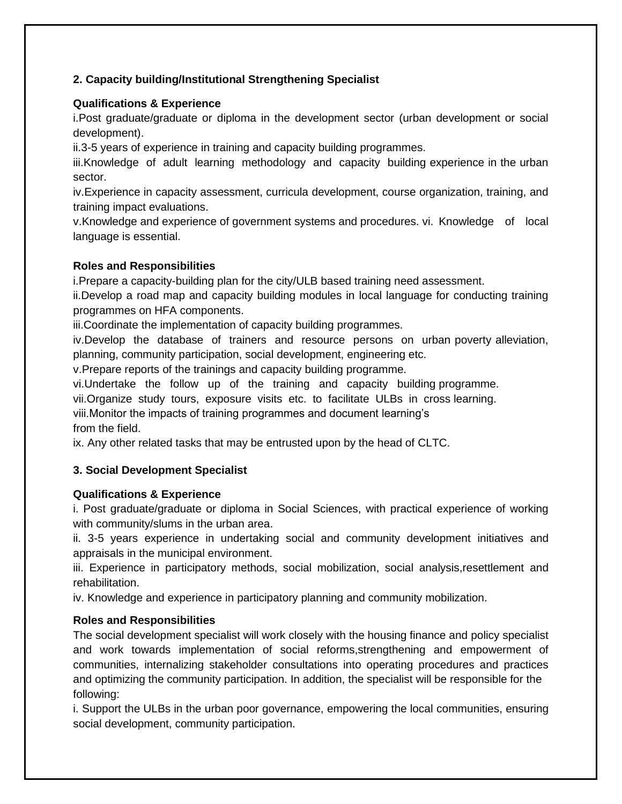### **2. Capacity building/Institutional Strengthening Specialist**

### **Qualifications & Experience**

i.Post graduate/graduate or diploma in the development sector (urban development or social development).

ii.3-5 years of experience in training and capacity building programmes.

iii.Knowledge of adult learning methodology and capacity building experience in the urban sector.

iv.Experience in capacity assessment, curricula development, course organization, training, and training impact evaluations.

v.Knowledge and experience of government systems and procedures. vi. Knowledge of local language is essential.

# **Roles and Responsibilities**

i.Prepare a capacity-building plan for the city/ULB based training need assessment.

ii.Develop a road map and capacity building modules in local language for conducting training programmes on HFA components.

iii.Coordinate the implementation of capacity building programmes.

iv.Develop the database of trainers and resource persons on urban poverty alleviation, planning, community participation, social development, engineering etc.

v.Prepare reports of the trainings and capacity building programme.

vi.Undertake the follow up of the training and capacity building programme.

vii.Organize study tours, exposure visits etc. to facilitate ULBs in cross learning.

viii.Monitor the impacts of training programmes and document learning's

from the field.

ix. Any other related tasks that may be entrusted upon by the head of CLTC.

# **3. Social Development Specialist**

# **Qualifications & Experience**

i. Post graduate/graduate or diploma in Social Sciences, with practical experience of working with community/slums in the urban area.

ii. 3-5 years experience in undertaking social and community development initiatives and appraisals in the municipal environment.

iii. Experience in participatory methods, social mobilization, social analysis,resettlement and rehabilitation.

iv. Knowledge and experience in participatory planning and community mobilization.

# **Roles and Responsibilities**

The social development specialist will work closely with the housing finance and policy specialist and work towards implementation of social reforms,strengthening and empowerment of communities, internalizing stakeholder consultations into operating procedures and practices and optimizing the community participation. In addition, the specialist will be responsible for the following:

i. Support the ULBs in the urban poor governance, empowering the local communities, ensuring social development, community participation.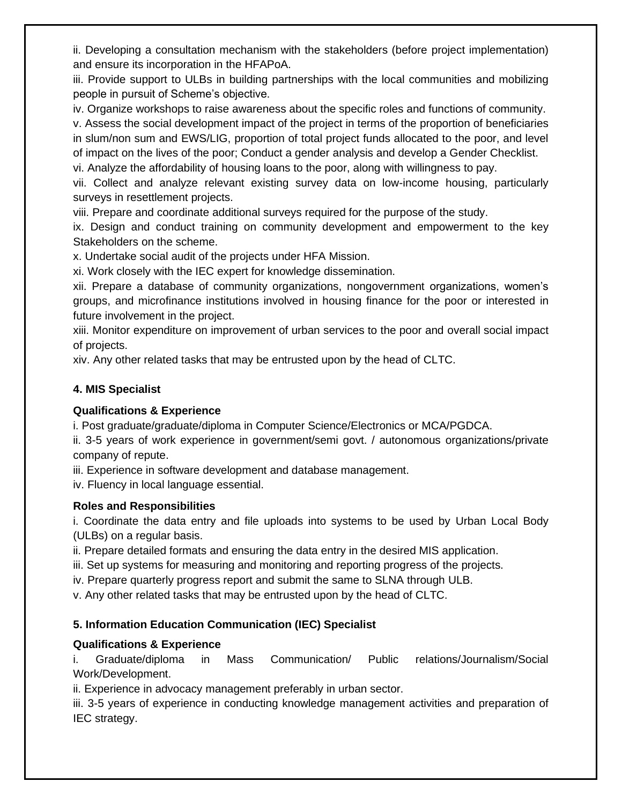ii. Developing a consultation mechanism with the stakeholders (before project implementation) and ensure its incorporation in the HFAPoA.

iii. Provide support to ULBs in building partnerships with the local communities and mobilizing people in pursuit of Scheme's objective.

iv. Organize workshops to raise awareness about the specific roles and functions of community.

v. Assess the social development impact of the project in terms of the proportion of beneficiaries in slum/non sum and EWS/LIG, proportion of total project funds allocated to the poor, and level of impact on the lives of the poor; Conduct a gender analysis and develop a Gender Checklist.

vi. Analyze the affordability of housing loans to the poor, along with willingness to pay.

vii. Collect and analyze relevant existing survey data on low-income housing, particularly surveys in resettlement projects.

viii. Prepare and coordinate additional surveys required for the purpose of the study.

ix. Design and conduct training on community development and empowerment to the key Stakeholders on the scheme.

x. Undertake social audit of the projects under HFA Mission.

xi. Work closely with the IEC expert for knowledge dissemination.

xii. Prepare a database of community organizations, nongovernment organizations, women's groups, and microfinance institutions involved in housing finance for the poor or interested in future involvement in the project.

xiii. Monitor expenditure on improvement of urban services to the poor and overall social impact of projects.

xiv. Any other related tasks that may be entrusted upon by the head of CLTC.

# **4. MIS Specialist**

# **Qualifications & Experience**

i. Post graduate/graduate/diploma in Computer Science/Electronics or MCA/PGDCA.

ii. 3-5 years of work experience in government/semi govt. / autonomous organizations/private company of repute.

iii. Experience in software development and database management.

iv. Fluency in local language essential.

# **Roles and Responsibilities**

i. Coordinate the data entry and file uploads into systems to be used by Urban Local Body (ULBs) on a regular basis.

ii. Prepare detailed formats and ensuring the data entry in the desired MIS application.

iii. Set up systems for measuring and monitoring and reporting progress of the projects.

iv. Prepare quarterly progress report and submit the same to SLNA through ULB.

v. Any other related tasks that may be entrusted upon by the head of CLTC.

# **5. Information Education Communication (IEC) Specialist**

# **Qualifications & Experience**

i. Graduate/diploma in Mass Communication/ Public relations/Journalism/Social Work/Development.

ii. Experience in advocacy management preferably in urban sector.

iii. 3-5 years of experience in conducting knowledge management activities and preparation of IEC strategy.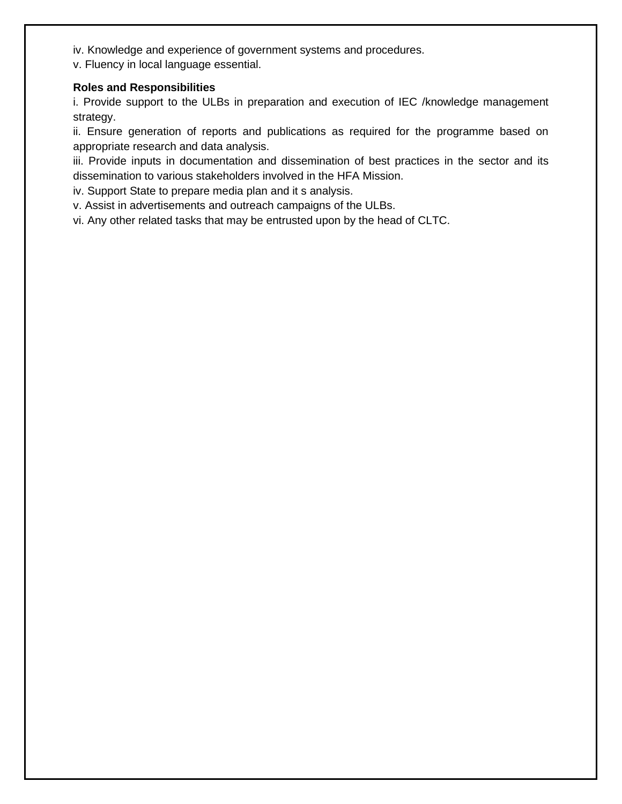iv. Knowledge and experience of government systems and procedures.

v. Fluency in local language essential.

#### **Roles and Responsibilities**

i. Provide support to the ULBs in preparation and execution of IEC /knowledge management strategy.

ii. Ensure generation of reports and publications as required for the programme based on appropriate research and data analysis.

iii. Provide inputs in documentation and dissemination of best practices in the sector and its dissemination to various stakeholders involved in the HFA Mission.

iv. Support State to prepare media plan and it s analysis.

v. Assist in advertisements and outreach campaigns of the ULBs.

vi. Any other related tasks that may be entrusted upon by the head of CLTC.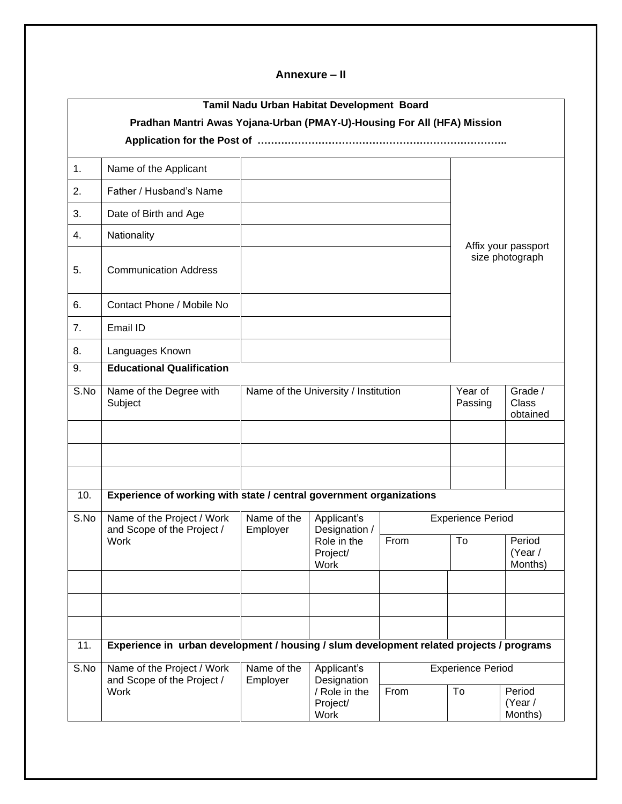#### **Annexure – II**

|      | Pradhan Mantri Awas Yojana-Urban (PMAY-U)-Housing For All (HFA) Mission                  |                                      | Tamil Nadu Urban Habitat Development Board                      |                          |                                        |                              |  |  |
|------|------------------------------------------------------------------------------------------|--------------------------------------|-----------------------------------------------------------------|--------------------------|----------------------------------------|------------------------------|--|--|
|      |                                                                                          |                                      |                                                                 |                          |                                        |                              |  |  |
| 1.   | Name of the Applicant                                                                    |                                      |                                                                 |                          |                                        |                              |  |  |
| 2.   | Father / Husband's Name                                                                  |                                      |                                                                 |                          |                                        |                              |  |  |
| 3.   | Date of Birth and Age                                                                    |                                      |                                                                 |                          |                                        |                              |  |  |
| 4.   | Nationality                                                                              |                                      |                                                                 |                          | Affix your passport<br>size photograph |                              |  |  |
| 5.   | <b>Communication Address</b>                                                             |                                      |                                                                 |                          |                                        |                              |  |  |
| 6.   | Contact Phone / Mobile No                                                                |                                      |                                                                 |                          |                                        |                              |  |  |
| 7.   | Email ID                                                                                 |                                      |                                                                 |                          |                                        |                              |  |  |
| 8.   | Languages Known                                                                          |                                      |                                                                 |                          |                                        |                              |  |  |
| 9.   | <b>Educational Qualification</b>                                                         |                                      |                                                                 |                          |                                        |                              |  |  |
| S.No | Name of the Degree with<br>Subject                                                       | Name of the University / Institution |                                                                 |                          | Year of<br>Passing                     | Grade /<br>Class<br>obtained |  |  |
|      |                                                                                          |                                      |                                                                 |                          |                                        |                              |  |  |
|      |                                                                                          |                                      |                                                                 |                          |                                        |                              |  |  |
|      |                                                                                          |                                      |                                                                 |                          |                                        |                              |  |  |
| 10.  | Experience of working with state / central government organizations                      |                                      |                                                                 |                          |                                        |                              |  |  |
| S.No | Name of the Project / Work<br>and Scope of the Project /<br><b>Work</b>                  | Name of the<br>Employer              | Applicant's<br>Designation /<br>Role in the<br>Project/<br>Work | <b>Experience Period</b> |                                        |                              |  |  |
|      |                                                                                          |                                      |                                                                 | From                     | To                                     | Period<br>(Year /<br>Months) |  |  |
|      |                                                                                          |                                      |                                                                 |                          |                                        |                              |  |  |
|      |                                                                                          |                                      |                                                                 |                          |                                        |                              |  |  |
|      |                                                                                          |                                      |                                                                 |                          |                                        |                              |  |  |
| 11.  | Experience in urban development / housing / slum development related projects / programs |                                      |                                                                 |                          |                                        |                              |  |  |
| S.No | Name of the Project / Work<br>and Scope of the Project /                                 | Name of the<br>Employer              | Applicant's<br>Designation                                      |                          | <b>Experience Period</b>               |                              |  |  |
|      | <b>Work</b>                                                                              |                                      | / Role in the<br>Project/<br>Work                               | From                     | To                                     | Period<br>(Year /<br>Months) |  |  |